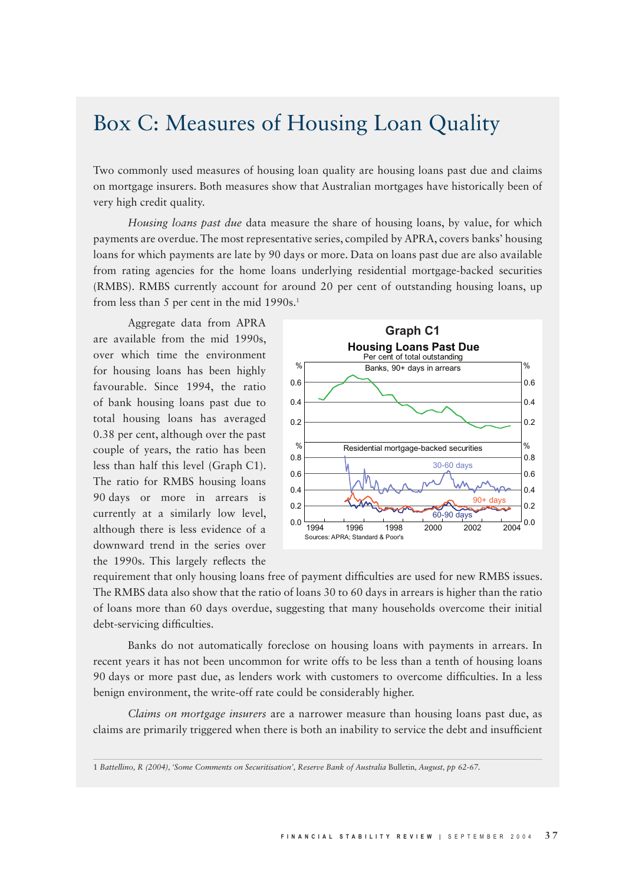## Box C: Measures of Housing Loan Quality

Two commonly used measures of housing loan quality are housing loans past due and claims on mortgage insurers. Both measures show that Australian mortgages have historically been of very high credit quality.

*Housing loans past due* data measure the share of housing loans, by value, for which payments are overdue. The most representative series, compiled by APRA, covers banks' housing loans for which payments are late by 90 days or more. Data on loans past due are also available from rating agencies for the home loans underlying residential mortgage-backed securities (RMBS). RMBS currently account for around 20 per cent of outstanding housing loans, up from less than 5 per cent in the mid 1990s.<sup>1</sup>

Aggregate data from APRA are available from the mid 1990s, over which time the environment for housing loans has been highly favourable. Since 1994, the ratio of bank housing loans past due to total housing loans has averaged 0.38 per cent, although over the past couple of years, the ratio has been less than half this level (Graph C1). The ratio for RMBS housing loans 90 days or more in arrears is currently at a similarly low level, although there is less evidence of a downward trend in the series over the 1990s. This largely reflects the



requirement that only housing loans free of payment difficulties are used for new RMBS issues. The RMBS data also show that the ratio of loans 30 to 60 days in arrears is higher than the ratio of loans more than 60 days overdue, suggesting that many households overcome their initial debt-servicing difficulties.

Banks do not automatically foreclose on housing loans with payments in arrears. In recent years it has not been uncommon for write offs to be less than a tenth of housing loans 90 days or more past due, as lenders work with customers to overcome difficulties. In a less benign environment, the write-off rate could be considerably higher.

*Claims on mortgage insurers* are a narrower measure than housing loans past due, as claims are primarily triggered when there is both an inability to service the debt and insufficient

1 *Battellino, R (2004), 'Some Comments on Securitisation', Reserve Bank of Australia* Bulletin*, August, pp 62-67.*